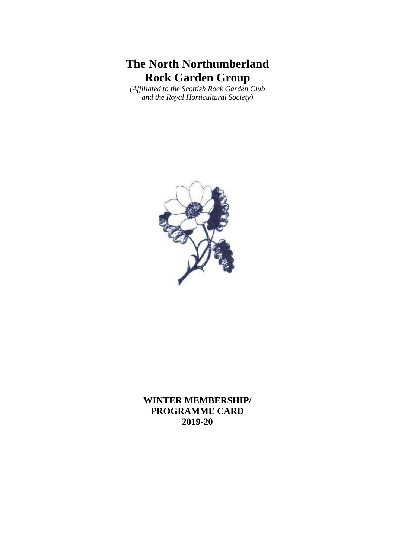# **The North Northumberland Rock Garden Group**

*(Affiliated to the Scottish Rock Garden Club and the Royal Horticultural Society)*



**WINTER MEMBERSHIP/ PROGRAMME CARD 2019-20**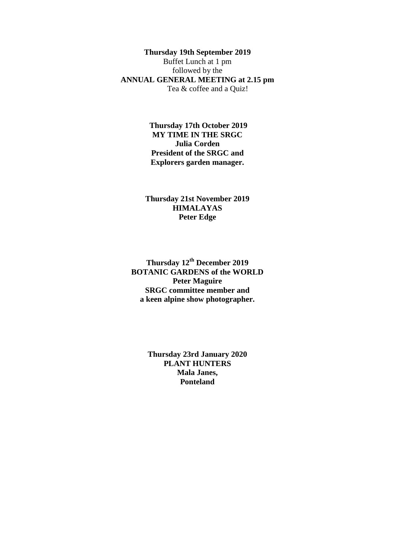## **Thursday 19th September 2019**

Buffet Lunch at 1 pm followed by the **ANNUAL GENERAL MEETING at 2.15 pm** Tea & coffee and a Quiz!

> **Thursday 17th October 2019 MY TIME IN THE SRGC Julia Corden President of the SRGC and Explorers garden manager.**

**Thursday 21st November 2019 HIMALAYAS Peter Edge**

**Thursday 12 th December 2019 BOTANIC GARDENS of the WORLD Peter Maguire SRGC committee member and a keen alpine show photographer.**

> **Thursday 23rd January 2020 PLANT HUNTERS Mala Janes, Ponteland**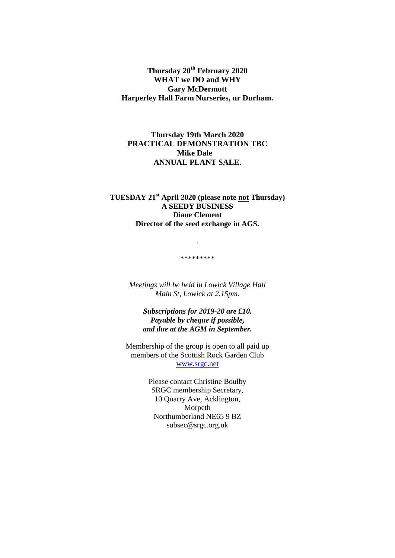**Thursday 20 th February 2020 WHAT we DO and WHY Gary McDermott Harperley Hall Farm Nurseries, nr Durham.**

# **Thursday 19th March 2020 PRACTICAL DEMONSTRATION TBC Mike Dale ANNUAL PLANT SALE.**

## **TUESDAY 21 st April 2020 (please note not Thursday) A SEEDY BUSINESS Diane Clement Director of the seed exchange in AGS.**

\*\*\*\*\*\*\*\*\*

.

*Meetings will be held in Lowick Village Hall Main St, Lowick at 2.15pm.*

*Subscriptions for 2019-20 are £10. Payable by cheque if possible, and due at the AGM in September.*

Membership of the group is open to all paid up members of the Scottish Rock Garden Club [www.srgc.net](http://www.srgc.net/)

> Please contact Christine Boulby SRGC membership Secretary, 10 Quarry Ave, Acklington, Morpeth Northumberland NE65 9 BZ subsec@srgc.org.uk